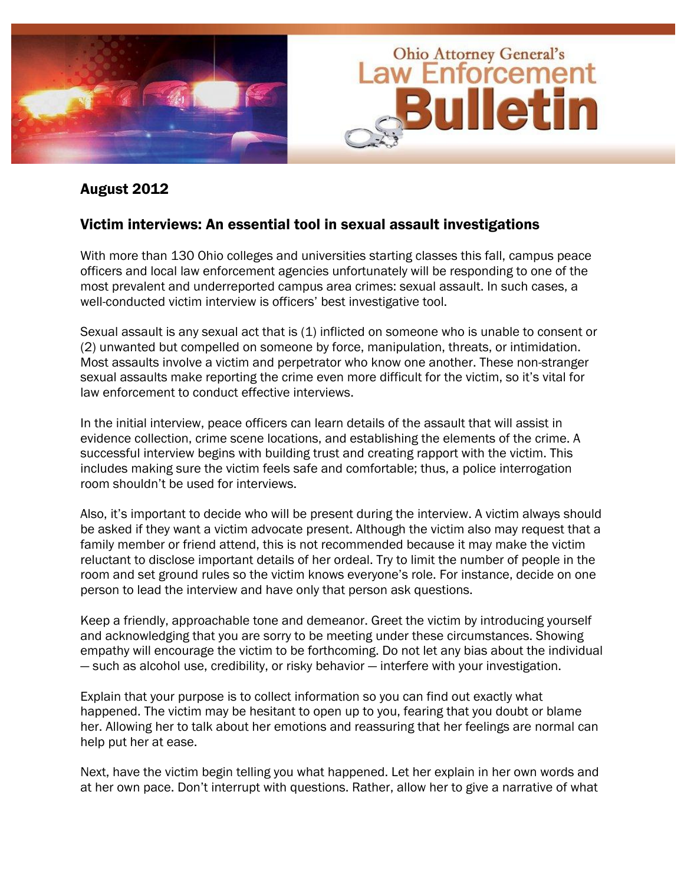

#### August 2012

#### Victim interviews: An essential tool in sexual assault investigations

With more than 130 Ohio colleges and universities starting classes this fall, campus peace officers and local law enforcement agencies unfortunately will be responding to one of the most prevalent and underreported campus area crimes: sexual assault. In such cases, a well-conducted victim interview is officers' best investigative tool.

Sexual assault is any sexual act that is (1) inflicted on someone who is unable to consent or (2) unwanted but compelled on someone by force, manipulation, threats, or intimidation. Most assaults involve a victim and perpetrator who know one another. These non-stranger sexual assaults make reporting the crime even more difficult for the victim, so it's vital for law enforcement to conduct effective interviews.

In the initial interview, peace officers can learn details of the assault that will assist in evidence collection, crime scene locations, and establishing the elements of the crime. A successful interview begins with building trust and creating rapport with the victim. This includes making sure the victim feels safe and comfortable; thus, a police interrogation room shouldn't be used for interviews.

Also, it's important to decide who will be present during the interview. A victim always should be asked if they want a victim advocate present. Although the victim also may request that a family member or friend attend, this is not recommended because it may make the victim reluctant to disclose important details of her ordeal. Try to limit the number of people in the room and set ground rules so the victim knows everyone's role. For instance, decide on one person to lead the interview and have only that person ask questions.

Keep a friendly, approachable tone and demeanor. Greet the victim by introducing yourself and acknowledging that you are sorry to be meeting under these circumstances. Showing empathy will encourage the victim to be forthcoming. Do not let any bias about the individual — such as alcohol use, credibility, or risky behavior — interfere with your investigation.

Explain that your purpose is to collect information so you can find out exactly what happened. The victim may be hesitant to open up to you, fearing that you doubt or blame her. Allowing her to talk about her emotions and reassuring that her feelings are normal can help put her at ease.

Next, have the victim begin telling you what happened. Let her explain in her own words and at her own pace. Don't interrupt with questions. Rather, allow her to give a narrative of what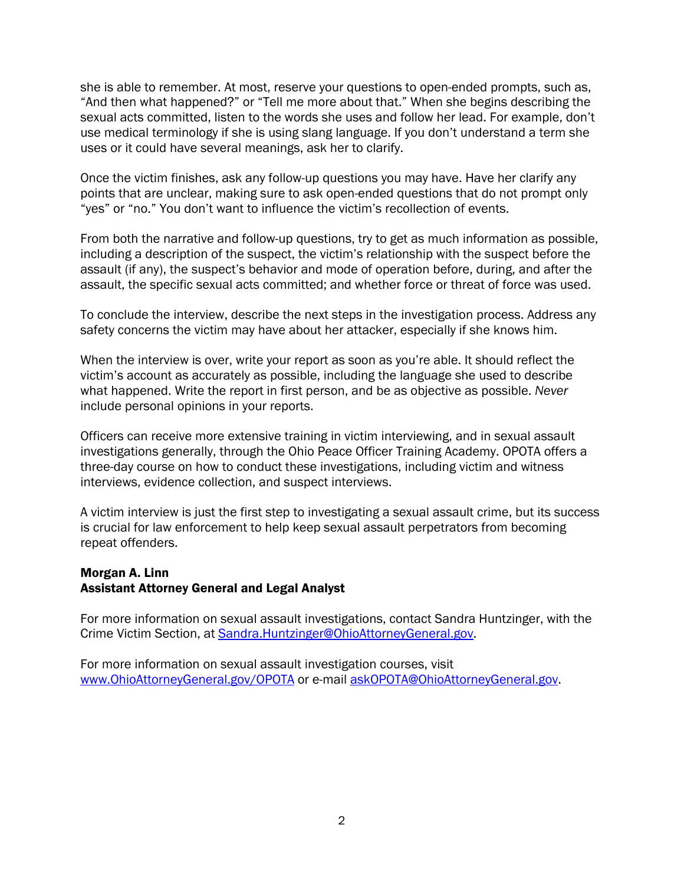she is able to remember. At most, reserve your questions to open-ended prompts, such as, "And then what happened?" or "Tell me more about that." When she begins describing the sexual acts committed, listen to the words she uses and follow her lead. For example, don't use medical terminology if she is using slang language. If you don't understand a term she uses or it could have several meanings, ask her to clarify.

Once the victim finishes, ask any follow-up questions you may have. Have her clarify any points that are unclear, making sure to ask open-ended questions that do not prompt only "yes" or "no." You don't want to influence the victim's recollection of events.

From both the narrative and follow-up questions, try to get as much information as possible, including a description of the suspect, the victim's relationship with the suspect before the assault (if any), the suspect's behavior and mode of operation before, during, and after the assault, the specific sexual acts committed; and whether force or threat of force was used.

To conclude the interview, describe the next steps in the investigation process. Address any safety concerns the victim may have about her attacker, especially if she knows him.

When the interview is over, write your report as soon as you're able. It should reflect the victim's account as accurately as possible, including the language she used to describe what happened. Write the report in first person, and be as objective as possible. *Never*  include personal opinions in your reports.

Officers can receive more extensive training in victim interviewing, and in sexual assault investigations generally, through the Ohio Peace Officer Training Academy. OPOTA offers a three-day course on how to conduct these investigations, including victim and witness interviews, evidence collection, and suspect interviews.

A victim interview is just the first step to investigating a sexual assault crime, but its success is crucial for law enforcement to help keep sexual assault perpetrators from becoming repeat offenders.

#### Morgan A. Linn Assistant Attorney General and Legal Analyst

For more information on sexual assault investigations, contact Sandra Huntzinger, with the Crime Victim Section, at Sandra.Huntzinger@OhioAttorneyGeneral.gov.

For more information on sexual assault investigation courses, visit www.OhioAttorneyGeneral.gov/OPOTA or e-mail askOPOTA@OhioAttorneyGeneral.gov.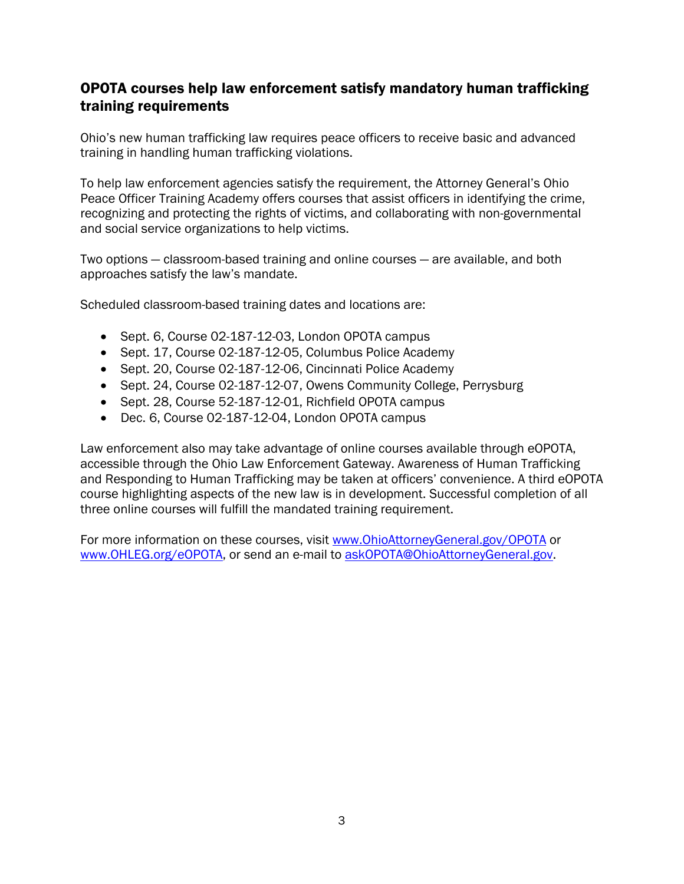# OPOTA courses help law enforcement satisfy mandatory human trafficking training requirements

Ohio's new human trafficking law requires peace officers to receive basic and advanced training in handling human trafficking violations.

To help law enforcement agencies satisfy the requirement, the Attorney General's Ohio Peace Officer Training Academy offers courses that assist officers in identifying the crime, recognizing and protecting the rights of victims, and collaborating with non-governmental and social service organizations to help victims.

Two options — classroom-based training and online courses — are available, and both approaches satisfy the law's mandate.

Scheduled classroom-based training dates and locations are:

- Sept. 6, Course 02-187-12-03, London OPOTA campus
- Sept. 17, Course 02-187-12-05, Columbus Police Academy
- Sept. 20, Course 02-187-12-06, Cincinnati Police Academy
- Sept. 24, Course 02-187-12-07, Owens Community College, Perrysburg
- Sept. 28, Course 52-187-12-01, Richfield OPOTA campus
- Dec. 6, Course 02-187-12-04, London OPOTA campus

Law enforcement also may take advantage of online courses available through eOPOTA, accessible through the Ohio Law Enforcement Gateway. Awareness of Human Trafficking and Responding to Human Trafficking may be taken at officers' convenience. A third eOPOTA course highlighting aspects of the new law is in development. Successful completion of all three online courses will fulfill the mandated training requirement.

For more information on these courses, visit www.OhioAttorneyGeneral.gov/OPOTA or www.OHLEG.org/eOPOTA, or send an e-mail to askOPOTA@OhioAttorneyGeneral.gov.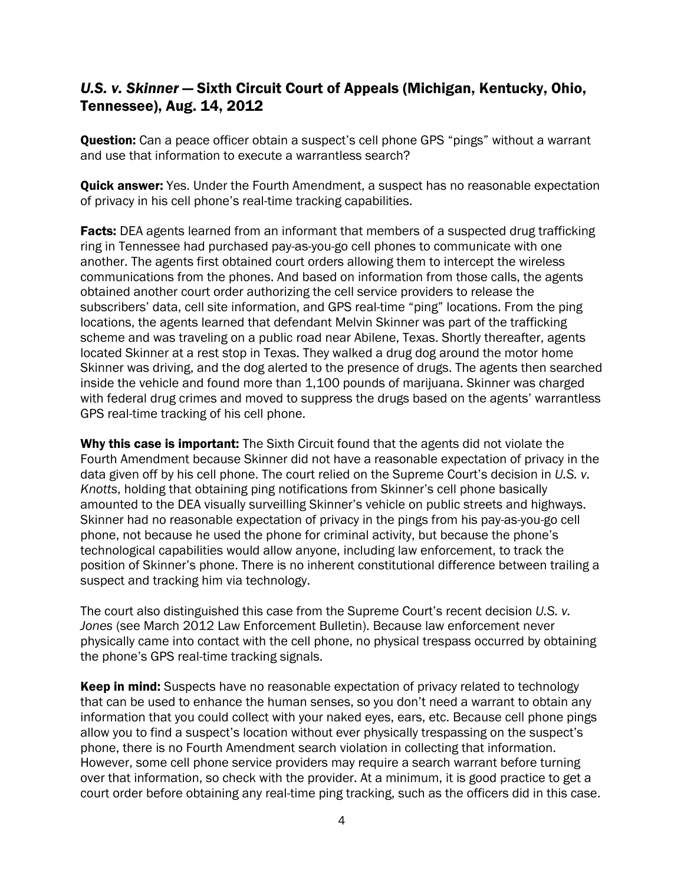# *U.S. v. Skinner* — Sixth Circuit Court of Appeals (Michigan, Kentucky, Ohio, Tennessee), Aug. 14, 2012

**Question:** Can a peace officer obtain a suspect's cell phone GPS "pings" without a warrant and use that information to execute a warrantless search?

**Quick answer:** Yes. Under the Fourth Amendment, a suspect has no reasonable expectation of privacy in his cell phone's real-time tracking capabilities.

**Facts:** DEA agents learned from an informant that members of a suspected drug trafficking ring in Tennessee had purchased pay-as-you-go cell phones to communicate with one another. The agents first obtained court orders allowing them to intercept the wireless communications from the phones. And based on information from those calls, the agents obtained another court order authorizing the cell service providers to release the subscribers' data, cell site information, and GPS real-time "ping" locations. From the ping locations, the agents learned that defendant Melvin Skinner was part of the trafficking scheme and was traveling on a public road near Abilene, Texas. Shortly thereafter, agents located Skinner at a rest stop in Texas. They walked a drug dog around the motor home Skinner was driving, and the dog alerted to the presence of drugs. The agents then searched inside the vehicle and found more than 1,100 pounds of marijuana. Skinner was charged with federal drug crimes and moved to suppress the drugs based on the agents' warrantless GPS real-time tracking of his cell phone.

Why this case is important: The Sixth Circuit found that the agents did not violate the Fourth Amendment because Skinner did not have a reasonable expectation of privacy in the data given off by his cell phone. The court relied on the Supreme Court's decision in *U.S. v. Knotts*, holding that obtaining ping notifications from Skinner's cell phone basically amounted to the DEA visually surveilling Skinner's vehicle on public streets and highways. Skinner had no reasonable expectation of privacy in the pings from his pay-as-you-go cell phone, not because he used the phone for criminal activity, but because the phone's technological capabilities would allow anyone, including law enforcement, to track the position of Skinner's phone. There is no inherent constitutional difference between trailing a suspect and tracking him via technology.

The court also distinguished this case from the Supreme Court's recent decision *U.S. v. Jones* (see March 2012 Law Enforcement Bulletin). Because law enforcement never physically came into contact with the cell phone, no physical trespass occurred by obtaining the phone's GPS real-time tracking signals.

Keep in mind: Suspects have no reasonable expectation of privacy related to technology that can be used to enhance the human senses, so you don't need a warrant to obtain any information that you could collect with your naked eyes, ears, etc. Because cell phone pings allow you to find a suspect's location without ever physically trespassing on the suspect's phone, there is no Fourth Amendment search violation in collecting that information. However, some cell phone service providers may require a search warrant before turning over that information, so check with the provider. At a minimum, it is good practice to get a court order before obtaining any real-time ping tracking, such as the officers did in this case.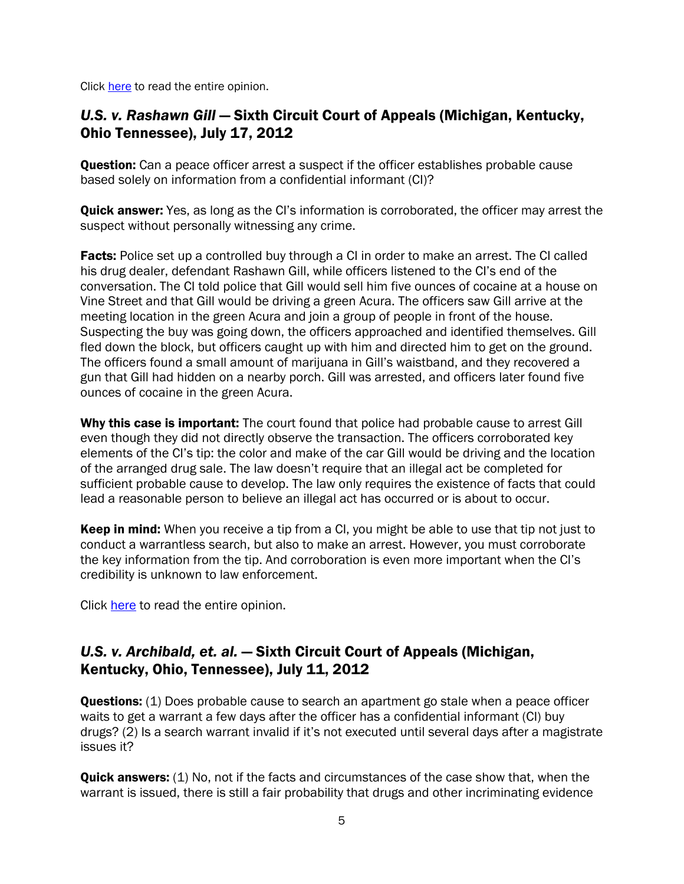Click [here](http://www.ca6.uscourts.gov/opinions.pdf/12a0262p-06.pdf) to read the entire opinion.

### *U.S. v. Rashawn Gill* — Sixth Circuit Court of Appeals (Michigan, Kentucky, Ohio Tennessee), July 17, 2012

**Question:** Can a peace officer arrest a suspect if the officer establishes probable cause based solely on information from a confidential informant (CI)?

**Quick answer:** Yes, as long as the CI's information is corroborated, the officer may arrest the suspect without personally witnessing any crime.

**Facts:** Police set up a controlled buy through a CI in order to make an arrest. The CI called his drug dealer, defendant Rashawn Gill, while officers listened to the CI's end of the conversation. The CI told police that Gill would sell him five ounces of cocaine at a house on Vine Street and that Gill would be driving a green Acura. The officers saw Gill arrive at the meeting location in the green Acura and join a group of people in front of the house. Suspecting the buy was going down, the officers approached and identified themselves. Gill fled down the block, but officers caught up with him and directed him to get on the ground. The officers found a small amount of marijuana in Gill's waistband, and they recovered a gun that Gill had hidden on a nearby porch. Gill was arrested, and officers later found five ounces of cocaine in the green Acura.

Why this case is important: The court found that police had probable cause to arrest Gill even though they did not directly observe the transaction. The officers corroborated key elements of the CI's tip: the color and make of the car Gill would be driving and the location of the arranged drug sale. The law doesn't require that an illegal act be completed for sufficient probable cause to develop. The law only requires the existence of facts that could lead a reasonable person to believe an illegal act has occurred or is about to occur.

**Keep in mind:** When you receive a tip from a CI, you might be able to use that tip not just to conduct a warrantless search, but also to make an arrest. However, you must corroborate the key information from the tip. And corroboration is even more important when the CI's credibility is unknown to law enforcement.

Click [here](http://www.ca6.uscourts.gov/opinions.pdf/12a0221p-06.pdf) to read the entire opinion.

## *U.S. v. Archibald, et. al.* — Sixth Circuit Court of Appeals (Michigan, Kentucky, Ohio, Tennessee), July 11, 2012

**Questions:** (1) Does probable cause to search an apartment go stale when a peace officer waits to get a warrant a few days after the officer has a confidential informant (CI) buy drugs? (2) Is a search warrant invalid if it's not executed until several days after a magistrate issues it?

**Quick answers:** (1) No, not if the facts and circumstances of the case show that, when the warrant is issued, there is still a fair probability that drugs and other incriminating evidence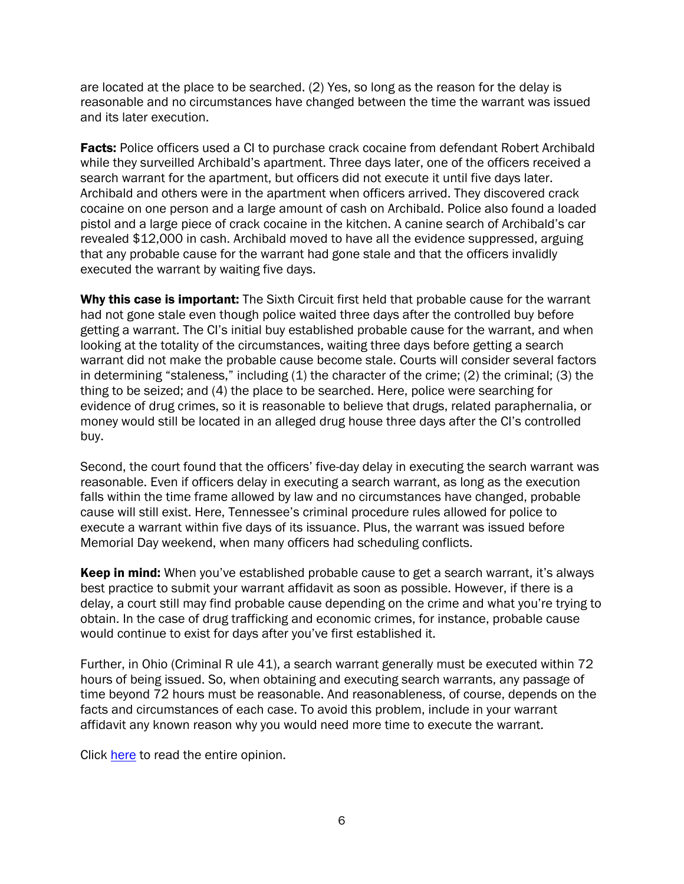are located at the place to be searched. (2) Yes, so long as the reason for the delay is reasonable and no circumstances have changed between the time the warrant was issued and its later execution.

**Facts:** Police officers used a CI to purchase crack cocaine from defendant Robert Archibald while they surveilled Archibald's apartment. Three days later, one of the officers received a search warrant for the apartment, but officers did not execute it until five days later. Archibald and others were in the apartment when officers arrived. They discovered crack cocaine on one person and a large amount of cash on Archibald. Police also found a loaded pistol and a large piece of crack cocaine in the kitchen. A canine search of Archibald's car revealed \$12,000 in cash. Archibald moved to have all the evidence suppressed, arguing that any probable cause for the warrant had gone stale and that the officers invalidly executed the warrant by waiting five days.

Why this case is important: The Sixth Circuit first held that probable cause for the warrant had not gone stale even though police waited three days after the controlled buy before getting a warrant. The CI's initial buy established probable cause for the warrant, and when looking at the totality of the circumstances, waiting three days before getting a search warrant did not make the probable cause become stale. Courts will consider several factors in determining "staleness," including (1) the character of the crime; (2) the criminal; (3) the thing to be seized; and (4) the place to be searched. Here, police were searching for evidence of drug crimes, so it is reasonable to believe that drugs, related paraphernalia, or money would still be located in an alleged drug house three days after the CI's controlled buy.

Second, the court found that the officers' five-day delay in executing the search warrant was reasonable. Even if officers delay in executing a search warrant, as long as the execution falls within the time frame allowed by law and no circumstances have changed, probable cause will still exist. Here, Tennessee's criminal procedure rules allowed for police to execute a warrant within five days of its issuance. Plus, the warrant was issued before Memorial Day weekend, when many officers had scheduling conflicts.

**Keep in mind:** When you've established probable cause to get a search warrant, it's always best practice to submit your warrant affidavit as soon as possible. However, if there is a delay, a court still may find probable cause depending on the crime and what you're trying to obtain. In the case of drug trafficking and economic crimes, for instance, probable cause would continue to exist for days after you've first established it.

Further, in Ohio (Criminal R ule 41), a search warrant generally must be executed within 72 hours of being issued. So, when obtaining and executing search warrants, any passage of time beyond 72 hours must be reasonable. And reasonableness, of course, depends on the facts and circumstances of each case. To avoid this problem, include in your warrant affidavit any known reason why you would need more time to execute the warrant.

Click [here](http://www.ca6.uscourts.gov/opinions.pdf/12a0212p-06.pdf) to read the entire opinion.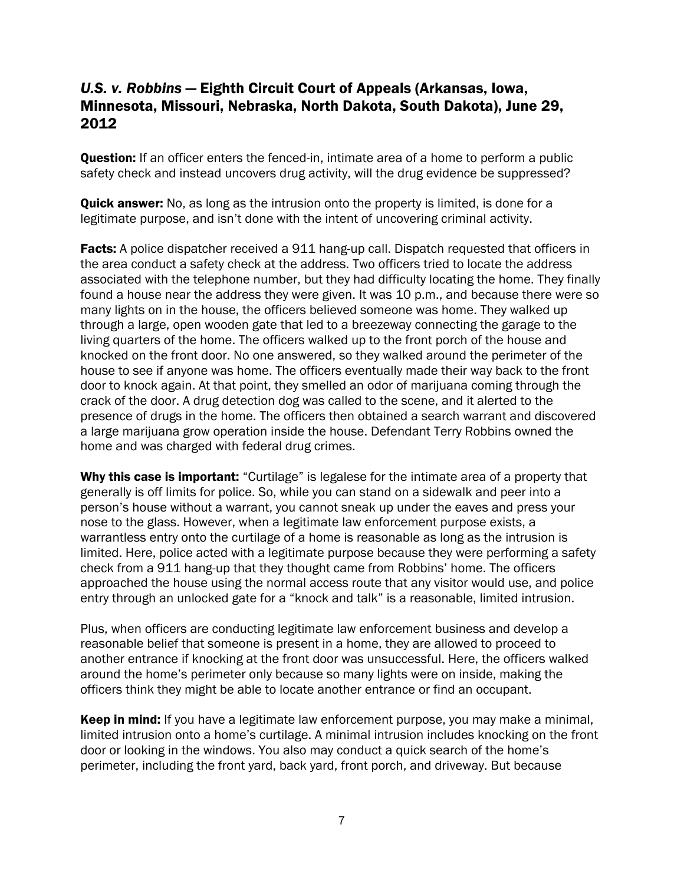### *U.S. v. Robbins* — Eighth Circuit Court of Appeals (Arkansas, Iowa, Minnesota, Missouri, Nebraska, North Dakota, South Dakota), June 29, 2012

**Question:** If an officer enters the fenced-in, intimate area of a home to perform a public safety check and instead uncovers drug activity, will the drug evidence be suppressed?

**Quick answer:** No, as long as the intrusion onto the property is limited, is done for a legitimate purpose, and isn't done with the intent of uncovering criminal activity.

**Facts:** A police dispatcher received a 911 hang-up call. Dispatch requested that officers in the area conduct a safety check at the address. Two officers tried to locate the address associated with the telephone number, but they had difficulty locating the home. They finally found a house near the address they were given. It was 10 p.m., and because there were so many lights on in the house, the officers believed someone was home. They walked up through a large, open wooden gate that led to a breezeway connecting the garage to the living quarters of the home. The officers walked up to the front porch of the house and knocked on the front door. No one answered, so they walked around the perimeter of the house to see if anyone was home. The officers eventually made their way back to the front door to knock again. At that point, they smelled an odor of marijuana coming through the crack of the door. A drug detection dog was called to the scene, and it alerted to the presence of drugs in the home. The officers then obtained a search warrant and discovered a large marijuana grow operation inside the house. Defendant Terry Robbins owned the home and was charged with federal drug crimes.

Why this case is important: "Curtilage" is legalese for the intimate area of a property that generally is off limits for police. So, while you can stand on a sidewalk and peer into a person's house without a warrant, you cannot sneak up under the eaves and press your nose to the glass. However, when a legitimate law enforcement purpose exists, a warrantless entry onto the curtilage of a home is reasonable as long as the intrusion is limited. Here, police acted with a legitimate purpose because they were performing a safety check from a 911 hang-up that they thought came from Robbins' home. The officers approached the house using the normal access route that any visitor would use, and police entry through an unlocked gate for a "knock and talk" is a reasonable, limited intrusion.

Plus, when officers are conducting legitimate law enforcement business and develop a reasonable belief that someone is present in a home, they are allowed to proceed to another entrance if knocking at the front door was unsuccessful. Here, the officers walked around the home's perimeter only because so many lights were on inside, making the officers think they might be able to locate another entrance or find an occupant.

Keep in mind: If you have a legitimate law enforcement purpose, you may make a minimal, limited intrusion onto a home's curtilage. A minimal intrusion includes knocking on the front door or looking in the windows. You also may conduct a quick search of the home's perimeter, including the front yard, back yard, front porch, and driveway. But because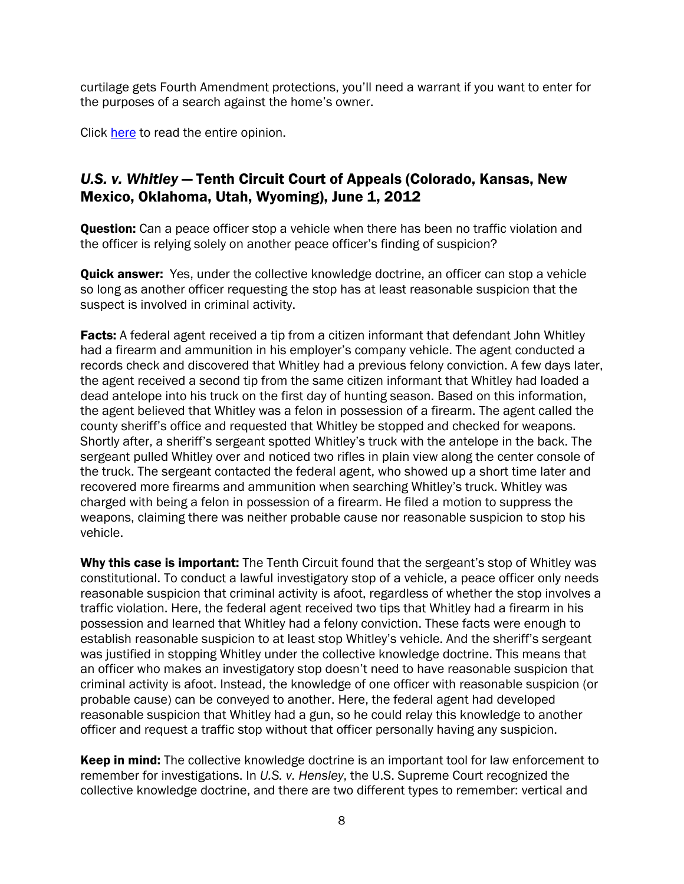curtilage gets Fourth Amendment protections, you'll need a warrant if you want to enter for the purposes of a search against the home's owner.

Click [here](http://www.ca8.uscourts.gov/opndir/12/06/113182P.pdf) to read the entire opinion.

# *U.S. v. Whitley* — Tenth Circuit Court of Appeals (Colorado, Kansas, New Mexico, Oklahoma, Utah, Wyoming), June 1, 2012

**Question:** Can a peace officer stop a vehicle when there has been no traffic violation and the officer is relying solely on another peace officer's finding of suspicion?

**Quick answer:** Yes, under the collective knowledge doctrine, an officer can stop a vehicle so long as another officer requesting the stop has at least reasonable suspicion that the suspect is involved in criminal activity.

**Facts:** A federal agent received a tip from a citizen informant that defendant John Whitley had a firearm and ammunition in his employer's company vehicle. The agent conducted a records check and discovered that Whitley had a previous felony conviction. A few days later, the agent received a second tip from the same citizen informant that Whitley had loaded a dead antelope into his truck on the first day of hunting season. Based on this information, the agent believed that Whitley was a felon in possession of a firearm. The agent called the county sheriff's office and requested that Whitley be stopped and checked for weapons. Shortly after, a sheriff's sergeant spotted Whitley's truck with the antelope in the back. The sergeant pulled Whitley over and noticed two rifles in plain view along the center console of the truck. The sergeant contacted the federal agent, who showed up a short time later and recovered more firearms and ammunition when searching Whitley's truck. Whitley was charged with being a felon in possession of a firearm. He filed a motion to suppress the weapons, claiming there was neither probable cause nor reasonable suspicion to stop his vehicle.

Why this case is important: The Tenth Circuit found that the sergeant's stop of Whitley was constitutional. To conduct a lawful investigatory stop of a vehicle, a peace officer only needs reasonable suspicion that criminal activity is afoot, regardless of whether the stop involves a traffic violation. Here, the federal agent received two tips that Whitley had a firearm in his possession and learned that Whitley had a felony conviction. These facts were enough to establish reasonable suspicion to at least stop Whitley's vehicle. And the sheriff's sergeant was justified in stopping Whitley under the collective knowledge doctrine. This means that an officer who makes an investigatory stop doesn't need to have reasonable suspicion that criminal activity is afoot. Instead, the knowledge of one officer with reasonable suspicion (or probable cause) can be conveyed to another. Here, the federal agent had developed reasonable suspicion that Whitley had a gun, so he could relay this knowledge to another officer and request a traffic stop without that officer personally having any suspicion.

**Keep in mind:** The collective knowledge doctrine is an important tool for law enforcement to remember for investigations. In *U.S. v. Hensley*, the U.S. Supreme Court recognized the collective knowledge doctrine, and there are two different types to remember: vertical and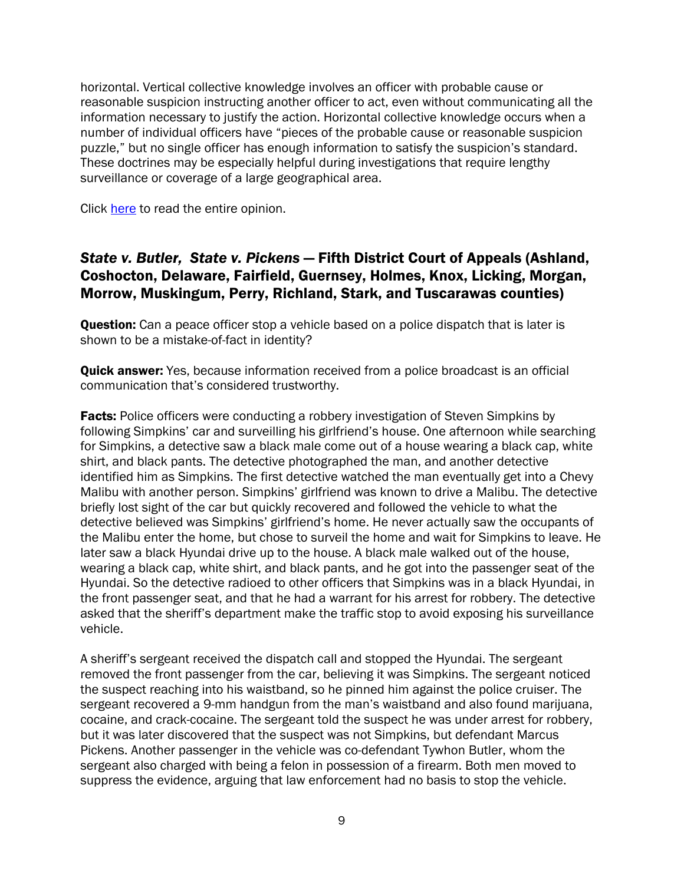horizontal. Vertical collective knowledge involves an officer with probable cause or reasonable suspicion instructing another officer to act, even without communicating all the information necessary to justify the action. Horizontal collective knowledge occurs when a number of individual officers have "pieces of the probable cause or reasonable suspicion puzzle," but no single officer has enough information to satisfy the suspicion's standard. These doctrines may be especially helpful during investigations that require lengthy surveillance or coverage of a large geographical area.

Click [here](http://www.ca10.uscourts.gov/opinions/11/11-8078.pdf) to read the entire opinion.

### *State v. Butler, State v. Pickens* — Fifth District Court of Appeals (Ashland, Coshocton, Delaware, Fairfield, Guernsey, Holmes, Knox, Licking, Morgan, Morrow, Muskingum, Perry, Richland, Stark, and Tuscarawas counties)

**Question:** Can a peace officer stop a vehicle based on a police dispatch that is later is shown to be a mistake-of-fact in identity?

**Quick answer:** Yes, because information received from a police broadcast is an official communication that's considered trustworthy.

**Facts:** Police officers were conducting a robbery investigation of Steven Simpkins by following Simpkins' car and surveilling his girlfriend's house. One afternoon while searching for Simpkins, a detective saw a black male come out of a house wearing a black cap, white shirt, and black pants. The detective photographed the man, and another detective identified him as Simpkins. The first detective watched the man eventually get into a Chevy Malibu with another person. Simpkins' girlfriend was known to drive a Malibu. The detective briefly lost sight of the car but quickly recovered and followed the vehicle to what the detective believed was Simpkins' girlfriend's home. He never actually saw the occupants of the Malibu enter the home, but chose to surveil the home and wait for Simpkins to leave. He later saw a black Hyundai drive up to the house. A black male walked out of the house, wearing a black cap, white shirt, and black pants, and he got into the passenger seat of the Hyundai. So the detective radioed to other officers that Simpkins was in a black Hyundai, in the front passenger seat, and that he had a warrant for his arrest for robbery. The detective asked that the sheriff's department make the traffic stop to avoid exposing his surveillance vehicle.

A sheriff's sergeant received the dispatch call and stopped the Hyundai. The sergeant removed the front passenger from the car, believing it was Simpkins. The sergeant noticed the suspect reaching into his waistband, so he pinned him against the police cruiser. The sergeant recovered a 9-mm handgun from the man's waistband and also found marijuana, cocaine, and crack-cocaine. The sergeant told the suspect he was under arrest for robbery, but it was later discovered that the suspect was not Simpkins, but defendant Marcus Pickens. Another passenger in the vehicle was co-defendant Tywhon Butler, whom the sergeant also charged with being a felon in possession of a firearm. Both men moved to suppress the evidence, arguing that law enforcement had no basis to stop the vehicle.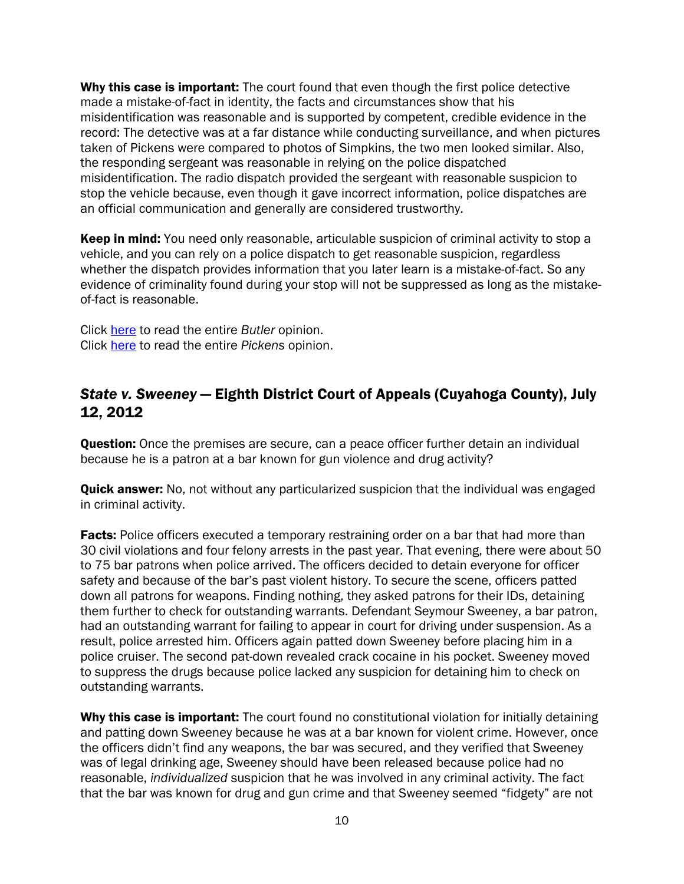Why this case is important: The court found that even though the first police detective made a mistake-of-fact in identity, the facts and circumstances show that his misidentification was reasonable and is supported by competent, credible evidence in the record: The detective was at a far distance while conducting surveillance, and when pictures taken of Pickens were compared to photos of Simpkins, the two men looked similar. Also, the responding sergeant was reasonable in relying on the police dispatched misidentification. The radio dispatch provided the sergeant with reasonable suspicion to stop the vehicle because, even though it gave incorrect information, police dispatches are an official communication and generally are considered trustworthy.

Keep in mind: You need only reasonable, articulable suspicion of criminal activity to stop a vehicle, and you can rely on a police dispatch to get reasonable suspicion, regardless whether the dispatch provides information that you later learn is a mistake-of-fact. So any evidence of criminality found during your stop will not be suppressed as long as the mistakeof-fact is reasonable.

Click [here](http://www.supremecourt.ohio.gov/rod/docs/pdf/5/2012/2012-ohio-2902.pdf) to read the entire *Butler* opinion. Click [here t](http://www.supremecourt.ohio.gov/rod/docs/pdf/5/2012/2012-ohio-2902.pdf)o read the entire *Pickens* opinion.

## *State v. Sweeney* — Eighth District Court of Appeals (Cuyahoga County), July 12, 2012

**Question:** Once the premises are secure, can a peace officer further detain an individual because he is a patron at a bar known for gun violence and drug activity?

**Quick answer:** No, not without any particularized suspicion that the individual was engaged in criminal activity.

**Facts:** Police officers executed a temporary restraining order on a bar that had more than 30 civil violations and four felony arrests in the past year. That evening, there were about 50 to 75 bar patrons when police arrived. The officers decided to detain everyone for officer safety and because of the bar's past violent history. To secure the scene, officers patted down all patrons for weapons. Finding nothing, they asked patrons for their IDs, detaining them further to check for outstanding warrants. Defendant Seymour Sweeney, a bar patron, had an outstanding warrant for failing to appear in court for driving under suspension. As a result, police arrested him. Officers again patted down Sweeney before placing him in a police cruiser. The second pat-down revealed crack cocaine in his pocket. Sweeney moved to suppress the drugs because police lacked any suspicion for detaining him to check on outstanding warrants.

Why this case is important: The court found no constitutional violation for initially detaining and patting down Sweeney because he was at a bar known for violent crime. However, once the officers didn't find any weapons, the bar was secured, and they verified that Sweeney was of legal drinking age, Sweeney should have been released because police had no reasonable, *individualized* suspicion that he was involved in any criminal activity. The fact that the bar was known for drug and gun crime and that Sweeney seemed "fidgety" are not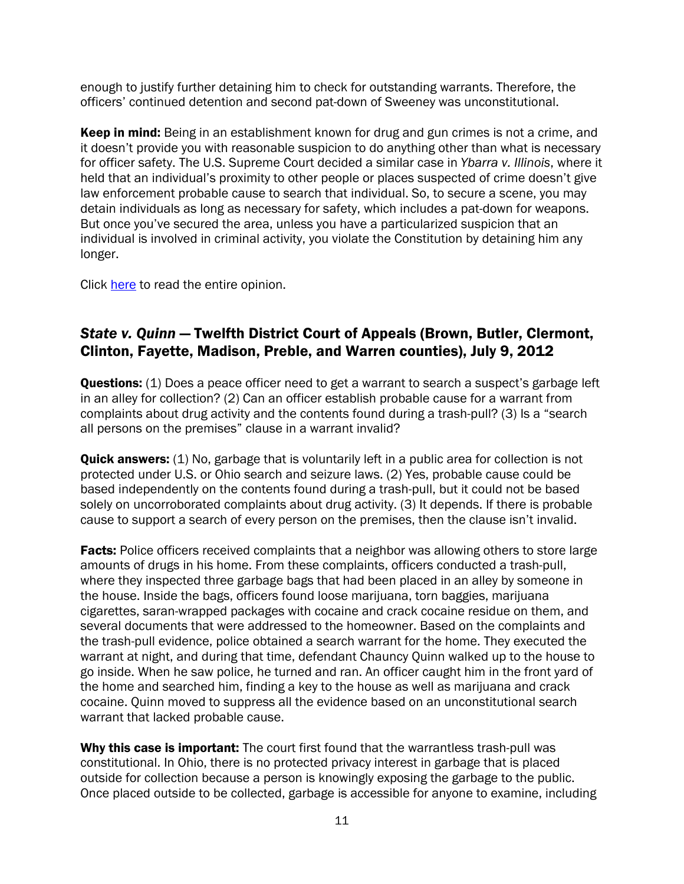enough to justify further detaining him to check for outstanding warrants. Therefore, the officers' continued detention and second pat-down of Sweeney was unconstitutional.

**Keep in mind:** Being in an establishment known for drug and gun crimes is not a crime, and it doesn't provide you with reasonable suspicion to do anything other than what is necessary for officer safety. The U.S. Supreme Court decided a similar case in *Ybarra v. Illinois*, where it held that an individual's proximity to other people or places suspected of crime doesn't give law enforcement probable cause to search that individual. So, to secure a scene, you may detain individuals as long as necessary for safety, which includes a pat-down for weapons. But once you've secured the area, unless you have a particularized suspicion that an individual is involved in criminal activity, you violate the Constitution by detaining him any longer.

Click [here](http://www.supremecourt.ohio.gov/rod/docs/pdf/8/2012/2012-ohio-3152.pdf) to read the entire opinion.

# *State v. Quinn* — Twelfth District Court of Appeals (Brown, Butler, Clermont, Clinton, Fayette, Madison, Preble, and Warren counties), July 9, 2012

**Questions:** (1) Does a peace officer need to get a warrant to search a suspect's garbage left in an alley for collection? (2) Can an officer establish probable cause for a warrant from complaints about drug activity and the contents found during a trash-pull? (3) Is a "search all persons on the premises" clause in a warrant invalid?

**Quick answers:** (1) No, garbage that is voluntarily left in a public area for collection is not protected under U.S. or Ohio search and seizure laws. (2) Yes, probable cause could be based independently on the contents found during a trash-pull, but it could not be based solely on uncorroborated complaints about drug activity. (3) It depends. If there is probable cause to support a search of every person on the premises, then the clause isn't invalid.

**Facts:** Police officers received complaints that a neighbor was allowing others to store large amounts of drugs in his home. From these complaints, officers conducted a trash-pull, where they inspected three garbage bags that had been placed in an alley by someone in the house. Inside the bags, officers found loose marijuana, torn baggies, marijuana cigarettes, saran-wrapped packages with cocaine and crack cocaine residue on them, and several documents that were addressed to the homeowner. Based on the complaints and the trash-pull evidence, police obtained a search warrant for the home. They executed the warrant at night, and during that time, defendant Chauncy Quinn walked up to the house to go inside. When he saw police, he turned and ran. An officer caught him in the front yard of the home and searched him, finding a key to the house as well as marijuana and crack cocaine. Quinn moved to suppress all the evidence based on an unconstitutional search warrant that lacked probable cause.

Why this case is important: The court first found that the warrantless trash-pull was constitutional. In Ohio, there is no protected privacy interest in garbage that is placed outside for collection because a person is knowingly exposing the garbage to the public. Once placed outside to be collected, garbage is accessible for anyone to examine, including